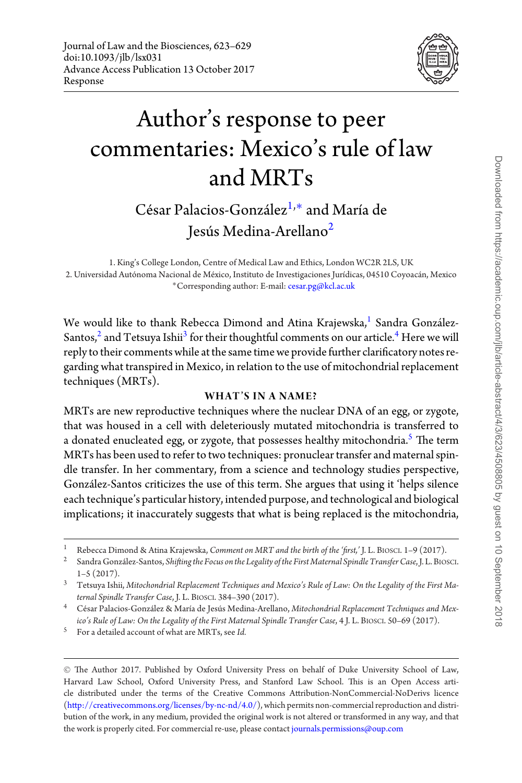

# Author's response to peer commentaries: Mexico's rule of law and MRTs

## <span id="page-0-1"></span> $C$ ésar Palacios-González<sup>[1,](#page-0-0)[∗](#page-0-1)</sup> and María de Jesús Medina-Arellano<sup>[2](#page-0-2)</sup>

<span id="page-0-2"></span><span id="page-0-0"></span>1. King's College London, Centre of Medical Law and Ethics, London WC2R 2LS, UK 2. Universidad Autónoma Nacional de México, Instituto de Investigaciones Jurídicas, 04510 Coyoacán, Mexico ∗Corresponding author: E-mail: [cesar.pg@kcl.ac.uk](mailto:cesar.pg@kcl.ac.uk)

We would like to thank Rebecca Dimond and Atina Krajewska,<sup>[1](#page-0-3)</sup> Sandra González-Santos,<sup>2</sup> and Tetsuya Ishii<sup>[3](#page-0-5)</sup> for their thoughtful comments on our article.<sup>[4](#page-0-6)</sup> Here we will reply to their comments while at the same time we provide further clarificatory notes regarding what transpired in Mexico, in relation to the use of mitochondrial replacement techniques (MRTs).

### **WHAT'S IN A NAME?**

MRTs are new reproductive techniques where the nuclear DNA of an egg, or zygote, that was housed in a cell with deleteriously mutated mitochondria is transferred to a donated enucleated egg, or zygote, that possesses healthy mitochondria.<sup>[5](#page-0-7)</sup> The term MRTs has been used to refer to two techniques: pronuclear transfer and maternal spindle transfer. In her commentary, from a science and technology studies perspective, Gonzalez-Santos criticizes the use of this term. She argues that using it 'helps silence ´ each technique's particular history, intended purpose, and technological and biological implications; it inaccurately suggests that what is being replaced is the mitochondria,

<span id="page-0-7"></span><sup>5</sup> For a detailed account of what are MRTs, see *Id.*

<span id="page-0-3"></span><sup>1</sup> Rebecca Dimond & Atina Krajewska, *Comment on MRT and the birth of the 'first,'* J. L. BIOSCI. 1–9 (2017).

<span id="page-0-4"></span><sup>2</sup> Sandra Gonzalez-Santos, ´ *Shifting the Focus on the Legality of the First Maternal Spindle Transfer Case*, J. L. BIOSCI. 1–5 (2017).

<span id="page-0-5"></span><sup>3</sup> Tetsuya Ishii, *Mitochondrial Replacement Techniques and Mexico's Rule of Law: On the Legality of the First Maternal Spindle Transfer Case*, J. L. BIOSCI. 384–390 (2017).

<span id="page-0-6"></span><sup>&</sup>lt;sup>4</sup> César Palacios-González & María de Jesús Medina-Arellano, Mitochondrial Replacement Techniques and Mex*ico's Rule of Law: On the Legality of the First Maternal Spindle Transfer Case*, 4 J. L. BIOSCI. 50–69 (2017).

<sup>C</sup> The Author 2017. Published by Oxford University Press on behalf of Duke University School of Law, Harvard Law School, Oxford University Press, and Stanford Law School. This is an Open Access article distributed under the terms of the Creative Commons Attribution-NonCommercial-NoDerivs licence [\(http://creativecommons.org/licenses/by-nc-nd/4.0/\)](http://creativecommons.org/licenses/by-nc-nd/4.0/), which permits non-commercial reproduction and distribution of the work, in any medium, provided the original work is not altered or transformed in any way, and that the work is properly cited. For commercial re-use, please contact [journals.permissions@oup.com](mailto:journals.permissions@oup.com)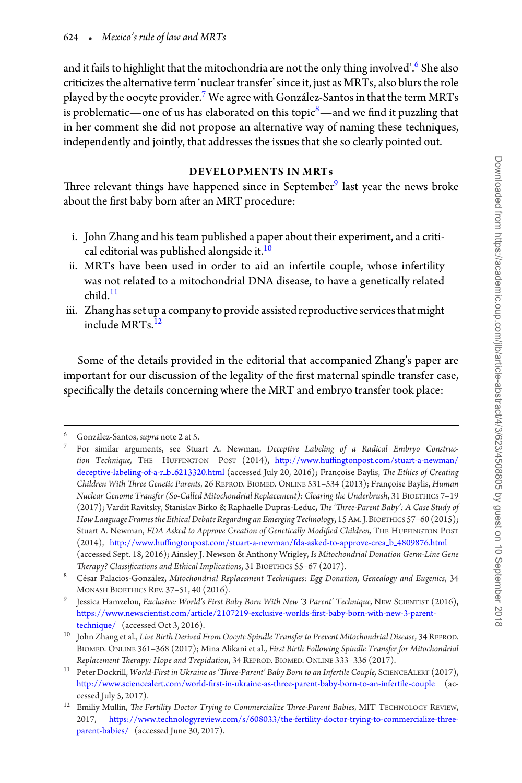and it fails to highlight that the mitochondria are not the only thing involved'.<sup>6</sup> She also criticizes the alternative term 'nuclear transfer' since it, just as MRTs, also blurs the role played by the oocyte provider.<sup>7</sup> We agree with Gonzalez-Santos in that the term MRTs is problematic—one of us has elaborated on this topic $\delta$ —and we find it puzzling that in her comment she did not propose an alternative way of naming these techniques, independently and jointly, that addresses the issues that she so clearly pointed out.

#### **DEVELOPMENTS IN MRTs**

Three relevant things have happened since in September<sup>9</sup> last year the news broke about the first baby born after an MRT procedure:

- i. John Zhang and his team published a paper about their experiment, and a critical editorial was published alongside it.<sup>10</sup>
- ii. MRTs have been used in order to aid an infertile couple, whose infertility was not related to a mitochondrial DNA disease, to have a genetically related  $child$ <sup>11</sup>
- iii. Zhang has set up a company to provide assisted reproductive services that might include MRTs[.12](#page-1-6)

Some of the details provided in the editorial that accompanied Zhang's paper are important for our discussion of the legality of the first maternal spindle transfer case, specifically the details concerning where the MRT and embryo transfer took place:

<span id="page-1-0"></span> $\frac{6}{7}$  González-Santos, supra note 2 at 5.

<span id="page-1-1"></span><sup>7</sup> For similar arguments, see Stuart A. Newman, *Deceptive Labeling of a Radical Embryo Construction Technique,* THE HUFFINGTON POST (2014), [http://www.huffingtonpost.com/stuart-a-newman/](http://www.huffingtonpost.com/stuart-a-newman/deceptive-labeling-of-a-r_bprotect unhbox voidb@x kern .06emvbox {hrule width.3em}6213320.html) [deceptive-labeling-of-a-r](http://www.huffingtonpost.com/stuart-a-newman/deceptive-labeling-of-a-r_bprotect unhbox voidb@x kern .06emvbox {hrule width.3em}6213320.html)<sub>-</sub>b<sub>-</sub>6213320.html (accessed July 20, 2016); Françoise Baylis, *The Ethics of Creating Children With Three Genetic Parents*, 26 REPROD. BIOMED. ONLINE 531-534 (2013); Françoise Baylis, *Human Nuclear Genome Transfer (So-Called Mitochondrial Replacement): Clearing the Underbrush*, 31 BIOETHICS 7–19 (2017); Vardit Ravitsky, Stanislav Birko & Raphaelle Dupras-Leduc, *The 'Three-Parent Baby': A Case Study of How Language Frames the Ethical Debate Regarding an Emerging Technology*, 15 AM. J.BIOETHICS 57–60 (2015); Stuart A. Newman, *FDA Asked to Approve Creation of Genetically Modified Children,* THE HUFFINGTON POST (2014), [http://www.huffingtonpost.com/stuart-a-newman/fda-asked-to-approve-crea](http://www.huffingtonpost.com/stuart-a-newman/fda-asked-to-approve-crea_bprotect unhbox voidb@x kern .06emvbox {hrule width.3em}4809876.html) b 4809876.html (accessed Sept. 18, 2016); Ainsley J. Newson & Anthony Wrigley, *Is Mitochondrial Donation Germ-Line Gene Therapy? Classifications and Ethical Implications*, 31 BIOETHICS 55–67 (2017).

<span id="page-1-2"></span><sup>&</sup>lt;sup>8</sup> César Palacios-González, Mitochondrial Replacement Techniques: Egg Donation, Genealogy and Eugenics, 34 MONASH BIOETHICS REV. 37–51, 40 (2016).

<span id="page-1-3"></span><sup>9</sup> Jessica Hamzelou, *Exclusive: World's First Baby Born With New '3 Parent' Technique,* NEW SCIENTIST (2016), [https://www.newscientist.com/article/2107219-exclusive-worlds-first-baby-born-with-new-3-parent](https://www.newscientist.com/article/2107219-exclusive-worlds-first-baby-born-with-new-3-parent-technique/)[technique/](https://www.newscientist.com/article/2107219-exclusive-worlds-first-baby-born-with-new-3-parent-technique/) (accessed Oct 3, 2016).

<span id="page-1-4"></span><sup>10</sup> John Zhang et al., *Live Birth Derived From Oocyte Spindle Transfer to Prevent Mitochondrial Disease*, 34 REPROD. BIOMED. ONLINE 361–368 (2017); Mina Alikani et al., *First Birth Following Spindle Transfer for Mitochondrial Replacement Therapy: Hope and Trepidation*, 34 REPROD. BIOMED. ONLINE 333–336 (2017).

<span id="page-1-5"></span><sup>11</sup> Peter Dockrill, *World-First in Ukraine as 'Three-Parent' Baby Born to an Infertile Couple,* SCIENCEALERT (2017), <http://www.sciencealert.com/world-first-in-ukraine-as-three-parent-baby-born-to-an-infertile-couple> (accessed July 5, 2017).

<span id="page-1-6"></span><sup>&</sup>lt;sup>12</sup> Emiliy Mullin, *The Fertility Doctor Trying to Commercialize Three-Parent Babies*, MIT TECHNOLOGY REVIEW, 2017, [https://www.technologyreview.com/s/608033/the-fertility-doctor-trying-to-commercialize-three](https://www.technologyreview.com/s/608033/the-fertility-doctor-trying-to-commercialize-three-parent-babies/)[parent-babies/](https://www.technologyreview.com/s/608033/the-fertility-doctor-trying-to-commercialize-three-parent-babies/) (accessed June 30, 2017).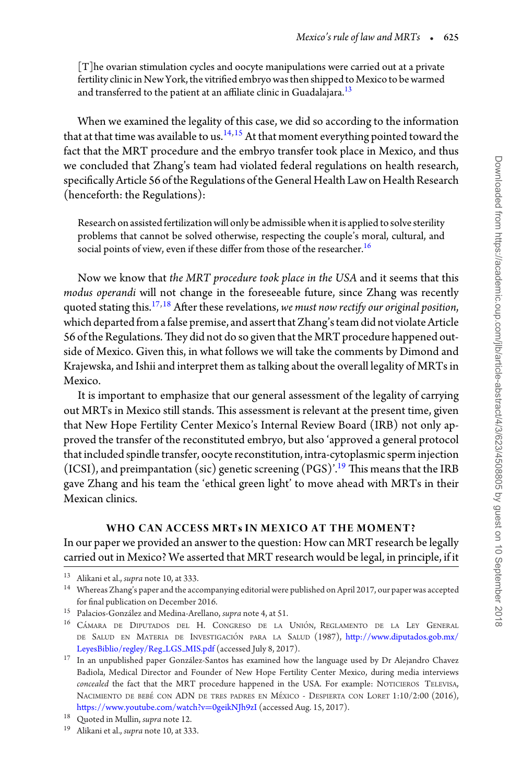[T]he ovarian stimulation cycles and oocyte manipulations were carried out at a private fertility clinic in New York, the vitrified embryo was then shipped to Mexico to be warmed and transferred to the patient at an affiliate clinic in Guadalajara. $^{13}$ 

When we examined the legality of this case, we did so according to the information that at that time was available to us.<sup>[14,](#page-2-1)[15](#page-2-2)</sup> At that moment everything pointed toward the fact that the MRT procedure and the embryo transfer took place in Mexico, and thus we concluded that Zhang's team had violated federal regulations on health research, specifically Article 56 ofthe Regulations ofthe General Health Law on Health Research (henceforth: the Regulations):

Research on assisted fertilization will only be admissible when it is applied to solve sterility problems that cannot be solved otherwise, respecting the couple's moral, cultural, and social points of view, even if these differ from those of the researcher.<sup>16</sup>

Now we know that *the MRT procedure took place in the USA* and it seems that this *modus operandi* will not change in the foreseeable future, since Zhang was recently quoted stating this[.17,](#page-2-4)[18](#page-2-5) After these revelations, *we must now rectify our original position*, which departed from a false premise, and assert that Zhang's team did not violate Article 56 of the Regulations.They did not do so given that the MRT procedure happened outside of Mexico. Given this, in what follows we will take the comments by Dimond and Krajewska, and Ishii and interpret them as talking about the overall legality of MRTs in Mexico.

It is important to emphasize that our general assessment of the legality of carrying out MRTs in Mexico still stands. This assessment is relevant at the present time, given that New Hope Fertility Center Mexico's Internal Review Board (IRB) not only approved the transfer of the reconstituted embryo, but also 'approved a general protocol that included spindle transfer, oocyte reconstitution, intra-cytoplasmic sperm injection (ICSI), and preimpantation (sic) genetic screening  $(PGS)^{19}$  This means that the IRB gave Zhang and his team the 'ethical green light' to move ahead with MRTs in their Mexican clinics.

#### **WHO CAN ACCESS MRTs IN MEXICO AT THE MOMENT?**

In our paper we provided an answer to the question: How can MRT research be legally carried out in Mexico? We asserted that MRT research would be legal, in principle, if it

<span id="page-2-0"></span><sup>13</sup> Alikani et al., *supra* note 10, at 333.

<span id="page-2-1"></span><sup>14</sup> Whereas Zhang's paper and the accompanying editorial were published on April 2017, our paper was accepted for final publication on December 2016.

<span id="page-2-2"></span><sup>&</sup>lt;sup>15</sup> Palacios-González and Medina-Arellano, *supra* note 4, at 51.

<span id="page-2-3"></span><sup>&</sup>lt;sup>16</sup> CÁMARA DE DIPUTADOS DEL H. CONGRESO DE LA UNIÓN, REGLAMENTO DE LA LEY GENERAL DE SALUD EN MATERIA DE INVESTIGACIÓN PARA LA SALUD (1987), [http://www.diputados.gob.mx/](http://www.diputados.gob.mx/LeyesBiblio/regley/Reg_LGSprotect unhbox voidb@x kern .06emvbox {hrule width.3em}MIS.pdf) [LeyesBiblio/regley/Reg](http://www.diputados.gob.mx/LeyesBiblio/regley/Reg_LGSprotect unhbox voidb@x kern .06emvbox {hrule width.3em}MIS.pdf) LGS MIS.pdf (accessed July 8, 2017).

<span id="page-2-4"></span> $^{17}\,$  In an unpublished paper González-Santos has examined how the language used by Dr Alejandro Chavez Badiola, Medical Director and Founder of New Hope Fertility Center Mexico, during media interviews *concealed* the fact that the MRT procedure happened in the USA. For example: NOTICIEROS TELEVISA, NACIMIENTO DE BEBÉ CON ADN DE TRES PADRES EN MÉXICO - DESPIERTA CON LORET 1:10/2:00 (2016), [https://www.youtube.com/watch?v](https://www.youtube.com/watch?vprotect $
elax =$0geikNJh9zI)=0geikNJh9zI (accessed Aug. 15, 2017). <sup>18</sup> Quoted in Mullin, *supra* note 12.

<span id="page-2-5"></span>

<span id="page-2-6"></span><sup>19</sup> Alikani et al., *supra* note 10, at 333.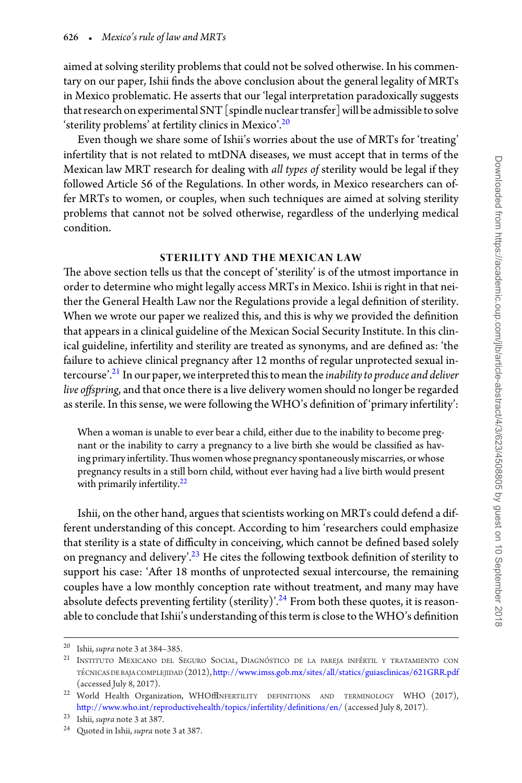aimed at solving sterility problems that could not be solved otherwise. In his commentary on our paper, Ishii finds the above conclusion about the general legality of MRTs in Mexico problematic. He asserts that our 'legal interpretation paradoxically suggests that research on experimental SNT [spindle nuclear transfer] will be admissible to solve 'sterility problems' at fertility clinics in Mexico'[.20](#page-3-0)

Even though we share some of Ishii's worries about the use of MRTs for 'treating' infertility that is not related to mtDNA diseases, we must accept that in terms of the Mexican law MRT research for dealing with *all types of* sterility would be legal if they followed Article 56 of the Regulations. In other words, in Mexico researchers can offer MRTs to women, or couples, when such techniques are aimed at solving sterility problems that cannot not be solved otherwise, regardless of the underlying medical condition.

#### **STERILITY AND THE MEXICAN LAW**

The above section tells us that the concept of 'sterility' is of the utmost importance in order to determine who might legally access MRTs in Mexico. Ishii is right in that neither the General Health Law nor the Regulations provide a legal definition of sterility. When we wrote our paper we realized this, and this is why we provided the definition that appears in a clinical guideline of the Mexican Social Security Institute. In this clinical guideline, infertility and sterility are treated as synonyms, and are defined as: 'the failure to achieve clinical pregnancy after 12 months of regular unprotected sexual in-tercourse<sup>'.[21](#page-3-1)</sup> In our paper, we interpreted this to mean the *inability to produce and deliver live offspring*, and that once there is a live delivery women should no longer be regarded as sterile. In this sense, we were following the WHO's definition of 'primary infertility':

When a woman is unable to ever bear a child, either due to the inability to become pregnant or the inability to carry a pregnancy to a live birth she would be classified as having primary infertility. Thus women whose pregnancy spontaneously miscarries, or whose pregnancy results in a still born child, without ever having had a live birth would present with primarily infertility.<sup>[22](#page-3-2)</sup>

Ishii, on the other hand, argues that scientists working on MRTs could defend a different understanding of this concept. According to him 'researchers could emphasize that sterility is a state of difficulty in conceiving, which cannot be defined based solely on pregnancy and delivery'.<sup>23</sup> He cites the following textbook definition of sterility to support his case: 'After 18 months of unprotected sexual intercourse, the remaining couples have a low monthly conception rate without treatment, and many may have absolute defects preventing fertility (sterility)'.<sup>24</sup> From both these quotes, it is reasonable to conclude that Ishii's understanding of this term is close to the WHO's definition

<span id="page-3-0"></span><sup>20</sup> Ishii, *supra* note 3 at 384–385.

<span id="page-3-1"></span> $21$  Instituto Mexicano del Seguro Social, Diagnóstico de la pareja infértil y tratamiento con TÉCNICAS DE BAJA COMPLEJIDAD (2012), <http://www.imss.gob.mx/sites/all/statics/guiasclinicas/621GRR.pdf> (accessed July 8, 2017).

<span id="page-3-2"></span><sup>&</sup>lt;sup>22</sup> World Health Organization, WHOffINFERTILITY DEFINITIONS AND TERMINOLOGY WHO (2017), <http://www.who.int/reproductivehealth/topics/infertility/definitions/en/> (accessed July 8, 2017).

<span id="page-3-3"></span><sup>23</sup> Ishii, *supra* note 3 at 387.

<span id="page-3-4"></span><sup>24</sup> Quoted in Ishii, *supra* note 3 at 387.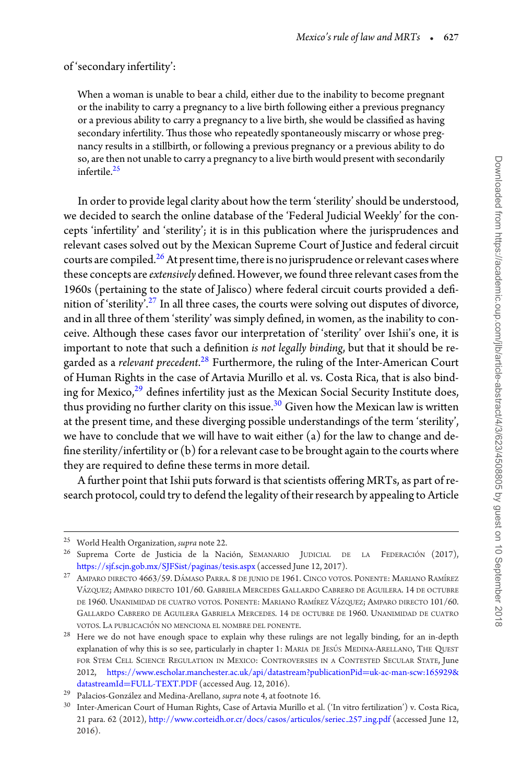#### of 'secondary infertility':

When a woman is unable to bear a child, either due to the inability to become pregnant or the inability to carry a pregnancy to a live birth following either a previous pregnancy or a previous ability to carry a pregnancy to a live birth, she would be classified as having secondary infertility. Thus those who repeatedly spontaneously miscarry or whose pregnancy results in a stillbirth, or following a previous pregnancy or a previous ability to do so, are then not unable to carry a pregnancy to a live birth would present with secondarily infertile.[25](#page-4-0)

In order to provide legal clarity about how the term 'sterility' should be understood, we decided to search the online database of the 'Federal Judicial Weekly' for the concepts 'infertility' and 'sterility'; it is in this publication where the jurisprudences and relevant cases solved out by the Mexican Supreme Court of Justice and federal circuit courts are compiled.<sup>[26](#page-4-1)</sup> At present time, there is no jurisprudence or relevant cases where these concepts are *extensively* defined. However, we found three relevant cases from the 1960s (pertaining to the state of Jalisco) where federal circuit courts provided a defi-nition of 'sterility'.<sup>[27](#page-4-2)</sup> In all three cases, the courts were solving out disputes of divorce, and in all three of them 'sterility' was simply defined, in women, as the inability to conceive. Although these cases favor our interpretation of 'sterility' over Ishii's one, it is important to note that such a definition *is not legally binding*, but that it should be regarded as a *relevant precedent.<sup>[28](#page-4-3)</sup>* Furthermore, the ruling of the Inter-American Court of Human Rights in the case of Artavia Murillo et al. vs. Costa Rica, that is also binding for Mexico, $^{29}$  defines infertility just as the Mexican Social Security Institute does, thus providing no further clarity on this issue. $30$  Given how the Mexican law is written at the present time, and these diverging possible understandings of the term 'sterility', we have to conclude that we will have to wait either (a) for the law to change and define sterility/infertility or (b) for a relevant case to be brought again to the courts where they are required to define these terms in more detail.

A further point that Ishii puts forward is that scientists offering MRTs, as part of research protocol, could try to defend the legality of their research by appealing to Article

<span id="page-4-0"></span><sup>25</sup> World Health Organization, *supra* note 22.

<span id="page-4-1"></span><sup>&</sup>lt;sup>26</sup> Suprema Corte de Justicia de la Nación, SEMANARIO JUDICIAL DE LA FEDERACIÓN (2017), <https://sjf.scjn.gob.mx/SJFSist/paginas/tesis.aspx> (accessed June 12, 2017).

<span id="page-4-2"></span> $27$  AMPARO DIRECTO  $4663/59$ . DÁMASO PARRA. 8 DE JUNIO DE 1961. CINCO VOTOS. PONENTE: MARIANO RAMÍREZ VÁZQUEZ; AMPARO DIRECTO 101/60. GABRIELA MERCEDES GALLARDO CABRERO DE AGUILERA. 14 DE OCTUBRE DE 1960. UNANIMIDAD DE CUATRO VOTOS. PONENTE: MARIANO RAMÍREZ VÁZQUEZ; AMPARO DIRECTO 101/60. GALLARDO CABRERO DE AGUILERA GABRIELA MERCEDES. 14 DE OCTUBRE DE 1960. UNANIMIDAD DE CUATRO VOTOS. LA PUBLICACIÓN NO MENCIONA EL NOMBRE DEL PONENTE.

<span id="page-4-3"></span><sup>&</sup>lt;sup>28</sup> Here we do not have enough space to explain why these rulings are not legally binding, for an in-depth explanation of why this is so see, particularly in chapter 1: MARIA DE JESÚS MEDINA-ARELLANO, THE QUEST FOR STEM CELL SCIENCE REGULATION IN MEXICO: CONTROVERSIES IN A CONTESTED SECULAR STATE, June 2012, [https://www.escholar.manchester.ac.uk/api/datastream?publicationPid](https://www.escholar.manchester.ac.uk/api/datastream?publicationPidprotect $
elax =$uk-ac-man-scw:165929&datastreamIdprotect $
elax =$FULL-TEXT.PDF)=uk-ac-man-scw:165929&

<span id="page-4-4"></span><sup>&</sup>lt;sup>29</sup> Palacios-González and Medina-Arellano, *supra* note 4, at footnote 16.

<span id="page-4-5"></span><sup>30</sup> Inter-American Court of Human Rights, Case of Artavia Murillo et al. ('In vitro fertilization') v. Costa Rica, 21 para. 62 (2012), [http://www.corteidh.or.cr/docs/casos/articulos/seriec](http://www.corteidh.or.cr/docs/casos/articulos/seriec_257protect unhbox voidb@x kern .06emvbox {hrule width.3em}ing.pdf) 257 ing.pdf (accessed June 12, 2016).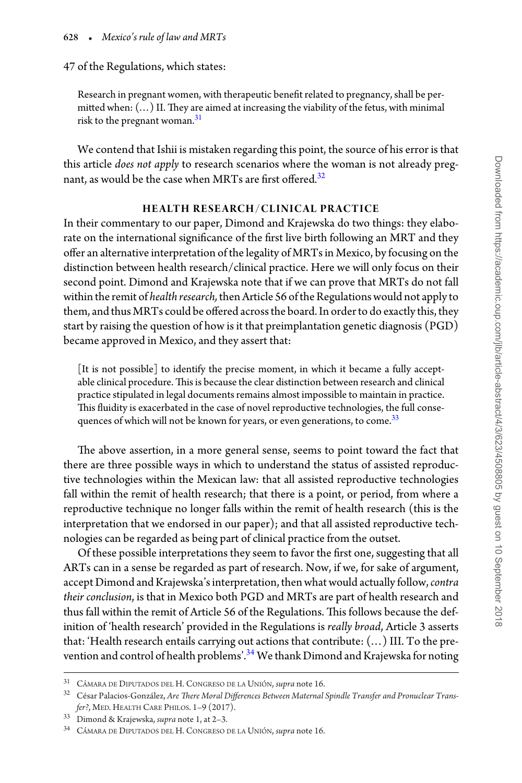#### 47 of the Regulations, which states:

Research in pregnant women, with therapeutic benefit related to pregnancy, shall be permitted when: (...) II. They are aimed at increasing the viability of the fetus, with minimal risk to the pregnant woman.<sup>[31](#page-5-0)</sup>

We contend that Ishii is mistaken regarding this point, the source of his error is that this article *does not apply* to research scenarios where the woman is not already pregnant, as would be the case when MRTs are first offered*.* [32](#page-5-1)

#### **HE ALTH RESE ARCH/CLINICAL PRACTICE**

In their commentary to our paper, Dimond and Krajewska do two things: they elaborate on the international significance of the first live birth following an MRT and they offer an alternative interpretation of the legality of MRTs in Mexico, by focusing on the distinction between health research/clinical practice. Here we will only focus on their second point. Dimond and Krajewska note that if we can prove that MRTs do not fall within the remit of *health research*, then Article 56 of the Regulations would not apply to them, and thus MRTs could be offered across the board. In order to do exactly this, they start by raising the question of how is it that preimplantation genetic diagnosis (PGD) became approved in Mexico, and they assert that:

[It is not possible] to identify the precise moment, in which it became a fully acceptable clinical procedure.This is because the clear distinction between research and clinical practice stipulated in legal documents remains almost impossible to maintain in practice. This fluidity is exacerbated in the case of novel reproductive technologies, the full consequences of which will not be known for years, or even generations, to come.<sup>33</sup>

The above assertion, in a more general sense, seems to point toward the fact that there are three possible ways in which to understand the status of assisted reproductive technologies within the Mexican law: that all assisted reproductive technologies fall within the remit of health research; that there is a point, or period, from where a reproductive technique no longer falls within the remit of health research (this is the interpretation that we endorsed in our paper); and that all assisted reproductive technologies can be regarded as being part of clinical practice from the outset.

Of these possible interpretations they seem to favor the first one, suggesting that all ARTs can in a sense be regarded as part of research. Now, if we, for sake of argument, accept Dimond and Krajewska's interpretation, then what would actually follow,*contra their conclusion*, is that in Mexico both PGD and MRTs are part of health research and thus fall within the remit of Article 56 of the Regulations. This follows because the definition of 'health research' provided in the Regulations is *really broad*, Article 3 asserts that: 'Health research entails carrying out actions that contribute: (...) III. To the pre-vention and control of health problems'.<sup>[34](#page-5-3)</sup> We thank Dimond and Krajewska for noting

<span id="page-5-0"></span><sup>&</sup>lt;sup>31</sup> CÁMARA DE DIPUTADOS DEL H. CONGRESO DE LA UNIÓN, *supra* note 16.

<span id="page-5-1"></span><sup>&</sup>lt;sup>32</sup> César Palacios-González, Are There Moral Differences Between Maternal Spindle Transfer and Pronuclear Trans*fer?*, MED. HEALTH CARE PHILOS. 1–9 (2017).

<span id="page-5-2"></span><sup>33</sup> Dimond & Krajewska, *supra* note 1, at 2–3.

<span id="page-5-3"></span><sup>&</sup>lt;sup>34</sup> CÁMARA DE DIPUTADOS DEL H. CONGRESO DE LA UNIÓN, *supra* note 16.